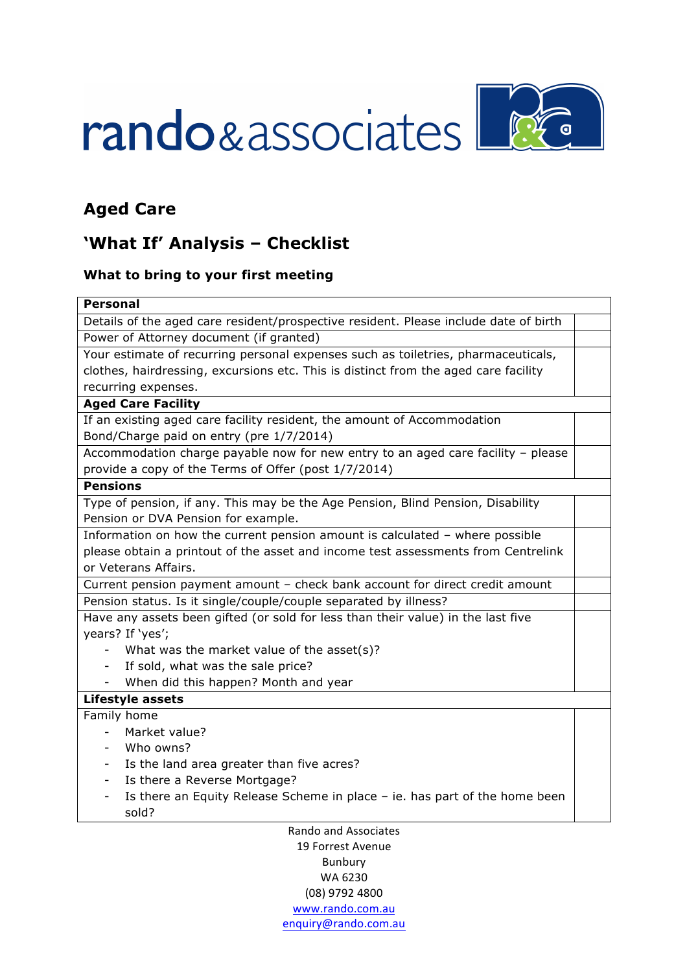

## **Aged Care**

## **'What If' Analysis – Checklist**

## **What to bring to your first meeting**

| <b>Personal</b>                                                                      |  |  |
|--------------------------------------------------------------------------------------|--|--|
| Details of the aged care resident/prospective resident. Please include date of birth |  |  |
| Power of Attorney document (if granted)                                              |  |  |
| Your estimate of recurring personal expenses such as toiletries, pharmaceuticals,    |  |  |
| clothes, hairdressing, excursions etc. This is distinct from the aged care facility  |  |  |
| recurring expenses.                                                                  |  |  |
| <b>Aged Care Facility</b>                                                            |  |  |
| If an existing aged care facility resident, the amount of Accommodation              |  |  |
| Bond/Charge paid on entry (pre 1/7/2014)                                             |  |  |
| Accommodation charge payable now for new entry to an aged care facility - please     |  |  |
| provide a copy of the Terms of Offer (post 1/7/2014)                                 |  |  |
| <b>Pensions</b>                                                                      |  |  |
| Type of pension, if any. This may be the Age Pension, Blind Pension, Disability      |  |  |
| Pension or DVA Pension for example.                                                  |  |  |
| Information on how the current pension amount is calculated - where possible         |  |  |
| please obtain a printout of the asset and income test assessments from Centrelink    |  |  |
| or Veterans Affairs.                                                                 |  |  |
| Current pension payment amount - check bank account for direct credit amount         |  |  |
| Pension status. Is it single/couple/couple separated by illness?                     |  |  |
| Have any assets been gifted (or sold for less than their value) in the last five     |  |  |
| years? If 'yes';                                                                     |  |  |
| What was the market value of the asset(s)?<br>$\overline{\phantom{a}}$               |  |  |
| If sold, what was the sale price?                                                    |  |  |
| When did this happen? Month and year                                                 |  |  |
| <b>Lifestyle assets</b>                                                              |  |  |
| Family home                                                                          |  |  |
| Market value?<br>$\overline{\phantom{a}}$                                            |  |  |
| Who owns?                                                                            |  |  |
| Is the land area greater than five acres?                                            |  |  |
| Is there a Reverse Mortgage?                                                         |  |  |
| Is there an Equity Release Scheme in place - ie. has part of the home been           |  |  |
| sold?                                                                                |  |  |
| Rando and Associates                                                                 |  |  |
| 19 Forrest Avenue                                                                    |  |  |

Bunbury WA 6230 (08) 9792 4800 www.rando.com.au enquiry@rando.com.au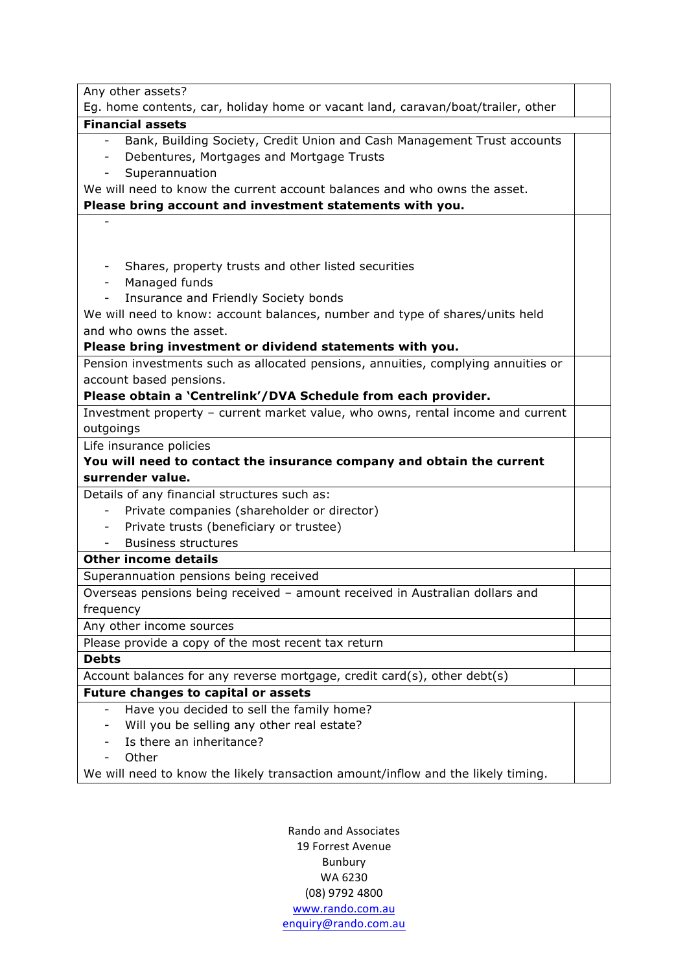| Any other assets?                                                                 |  |
|-----------------------------------------------------------------------------------|--|
| Eg. home contents, car, holiday home or vacant land, caravan/boat/trailer, other  |  |
| <b>Financial assets</b>                                                           |  |
| Bank, Building Society, Credit Union and Cash Management Trust accounts           |  |
| Debentures, Mortgages and Mortgage Trusts                                         |  |
| Superannuation                                                                    |  |
| We will need to know the current account balances and who owns the asset.         |  |
| Please bring account and investment statements with you.                          |  |
|                                                                                   |  |
|                                                                                   |  |
|                                                                                   |  |
| Shares, property trusts and other listed securities                               |  |
| Managed funds                                                                     |  |
| Insurance and Friendly Society bonds                                              |  |
| We will need to know: account balances, number and type of shares/units held      |  |
| and who owns the asset.                                                           |  |
| Please bring investment or dividend statements with you.                          |  |
| Pension investments such as allocated pensions, annuities, complying annuities or |  |
| account based pensions.                                                           |  |
| Please obtain a 'Centrelink'/DVA Schedule from each provider.                     |  |
| Investment property - current market value, who owns, rental income and current   |  |
| outgoings                                                                         |  |
| Life insurance policies                                                           |  |
| You will need to contact the insurance company and obtain the current             |  |
| surrender value.                                                                  |  |
| Details of any financial structures such as:                                      |  |
| Private companies (shareholder or director)<br>$\overline{\phantom{0}}$           |  |
| Private trusts (beneficiary or trustee)<br>$\overline{\phantom{a}}$               |  |
| <b>Business structures</b>                                                        |  |
| <b>Other income details</b>                                                       |  |
| Superannuation pensions being received                                            |  |
| Overseas pensions being received - amount received in Australian dollars and      |  |
| frequency                                                                         |  |
| Any other income sources                                                          |  |
| Please provide a copy of the most recent tax return                               |  |
| <b>Debts</b>                                                                      |  |
| Account balances for any reverse mortgage, credit card(s), other debt(s)          |  |
| <b>Future changes to capital or assets</b>                                        |  |
| Have you decided to sell the family home?                                         |  |
| Will you be selling any other real estate?                                        |  |
| Is there an inheritance?<br>$\overline{\phantom{0}}$                              |  |
| Other                                                                             |  |
| We will need to know the likely transaction amount/inflow and the likely timing.  |  |
|                                                                                   |  |

Rando and Associates 19 Forrest Avenue Bunbury WA 6230 (08) 9792 4800 www.rando.com.au enquiry@rando.com.au